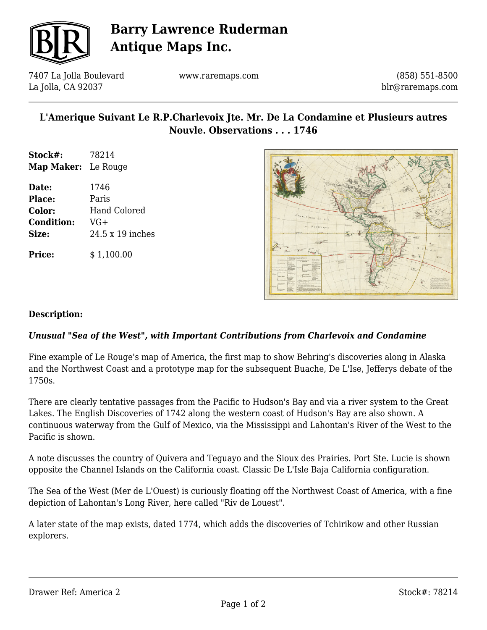

# **Barry Lawrence Ruderman Antique Maps Inc.**

7407 La Jolla Boulevard La Jolla, CA 92037

www.raremaps.com

(858) 551-8500 blr@raremaps.com

## **L'Amerique Suivant Le R.P.Charlevoix Jte. Mr. De La Condamine et Plusieurs autres Nouvle. Observations . . . 1746**

- **Stock#:** 78214 **Map Maker:** Le Rouge
- **Date:** 1746 **Place:** Paris **Color:** Hand Colored **Condition:** VG+ **Size:** 24.5 x 19 inches

**Price:**  $$ 1,100.00$ 



#### **Description:**

### *Unusual "Sea of the West", with Important Contributions from Charlevoix and Condamine*

Fine example of Le Rouge's map of America, the first map to show Behring's discoveries along in Alaska and the Northwest Coast and a prototype map for the subsequent Buache, De L'Ise, Jefferys debate of the 1750s.

There are clearly tentative passages from the Pacific to Hudson's Bay and via a river system to the Great Lakes. The English Discoveries of 1742 along the western coast of Hudson's Bay are also shown. A continuous waterway from the Gulf of Mexico, via the Mississippi and Lahontan's River of the West to the Pacific is shown.

A note discusses the country of Quivera and Teguayo and the Sioux des Prairies. Port Ste. Lucie is shown opposite the Channel Islands on the California coast. Classic De L'Isle Baja California configuration.

The Sea of the West (Mer de L'Ouest) is curiously floating off the Northwest Coast of America, with a fine depiction of Lahontan's Long River, here called "Riv de Louest".

A later state of the map exists, dated 1774, which adds the discoveries of Tchirikow and other Russian explorers.